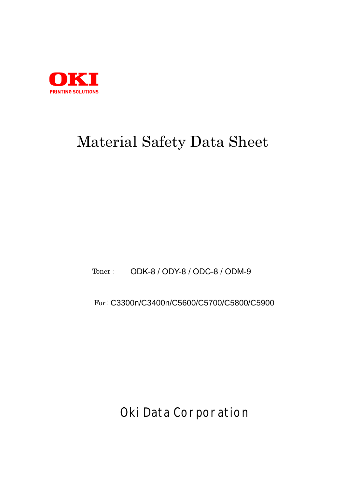

# Material Safety Data Sheet

Toner: ODK-8 / ODY-8 / ODC-8 / ODM-9

For: C3300n/C3400n/C5600/C5700/C5800/C5900

**Oki Data Corporation**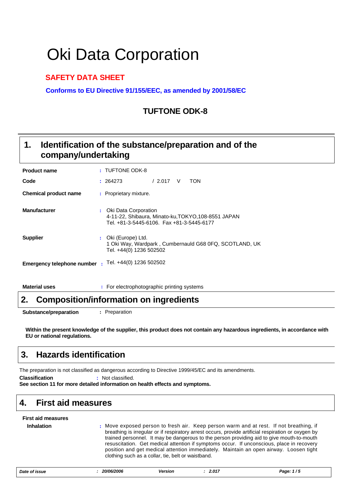# Oki Data Corporation

### **SAFETY DATA SHEET**

**Conforms to EU Directive 91/155/EEC, as amended by 2001/58/EC**

### **TUFTONE ODK-8**

#### **Identification of the substance/preparation and of the company/undertaking 1.**

| <b>Product name</b>               | : TUFTONE ODK-8                                                                                                            |  |  |  |  |
|-----------------------------------|----------------------------------------------------------------------------------------------------------------------------|--|--|--|--|
| Code                              | TON<br>/2.017<br>V<br>: 264273                                                                                             |  |  |  |  |
| <b>Chemical product name</b>      | : Proprietary mixture.                                                                                                     |  |  |  |  |
| <b>Manufacturer</b>               | : Oki Data Corporation<br>4-11-22, Shibaura, Minato-ku, TOKYO, 108-8551 JAPAN<br>Tel. +81-3-5445-6106. Fax +81-3-5445-6177 |  |  |  |  |
| <b>Supplier</b>                   | : Oki (Europe) Ltd.<br>1 Oki Way, Wardpark, Cumbernauld G68 0FQ, SCOTLAND, UK<br>Tel. +44(0) 1236 502502                   |  |  |  |  |
| <b>Emergency telephone number</b> | : Tel. +44(0) 1236 502502                                                                                                  |  |  |  |  |

**Material uses :** For electrophotographic printing systems

### **2. Composition/information on ingredients**

**Substance/preparation :** Preparation

**Within the present knowledge of the supplier, this product does not contain any hazardous ingredients, in accordance with EU or national regulations.**

### **3. Hazards identification**

The preparation is not classified as dangerous according to Directive 1999/45/EC and its amendments.

**Classification :** Not classified.

**See section 11 for more detailed information on health effects and symptoms.**

### **4. First aid measures**

| <b>First aid measures</b> |                                                                                                                                                                                                                                                                                                                                                                                                                                                                                                                                        |
|---------------------------|----------------------------------------------------------------------------------------------------------------------------------------------------------------------------------------------------------------------------------------------------------------------------------------------------------------------------------------------------------------------------------------------------------------------------------------------------------------------------------------------------------------------------------------|
| <b>Inhalation</b>         | : Move exposed person to fresh air. Keep person warm and at rest. If not breathing, if<br>breathing is irregular or if respiratory arrest occurs, provide artificial respiration or oxygen by<br>trained personnel. It may be dangerous to the person providing aid to give mouth-to-mouth<br>resuscitation. Get medical attention if symptoms occur. If unconscious, place in recovery<br>position and get medical attention immediately. Maintain an open airway. Loosen tight<br>clothing such as a collar, tie, belt or waistband. |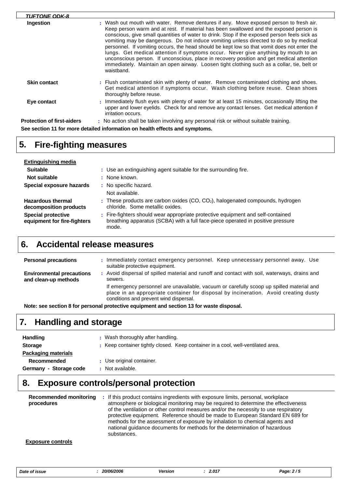| <b>TUFTONE ODK-8</b>              |                                                                                                                                                                                                                                                                                                                                                                                                                                                                                                                                                                                                                                                                                                                                                                        |
|-----------------------------------|------------------------------------------------------------------------------------------------------------------------------------------------------------------------------------------------------------------------------------------------------------------------------------------------------------------------------------------------------------------------------------------------------------------------------------------------------------------------------------------------------------------------------------------------------------------------------------------------------------------------------------------------------------------------------------------------------------------------------------------------------------------------|
| Ingestion                         | : Wash out mouth with water. Remove dentures if any. Move exposed person to fresh air.<br>Keep person warm and at rest. If material has been swallowed and the exposed person is<br>conscious, give small quantities of water to drink. Stop if the exposed person feels sick as<br>vomiting may be dangerous. Do not induce vomiting unless directed to do so by medical<br>personnel. If vomiting occurs, the head should be kept low so that vomit does not enter the<br>lungs. Get medical attention if symptoms occur. Never give anything by mouth to an<br>unconscious person. If unconscious, place in recovery position and get medical attention<br>immediately. Maintain an open airway. Loosen tight clothing such as a collar, tie, belt or<br>waistband. |
| <b>Skin contact</b>               | : Flush contaminated skin with plenty of water. Remove contaminated clothing and shoes.<br>Get medical attention if symptoms occur. Wash clothing before reuse. Clean shoes<br>thoroughly before reuse.                                                                                                                                                                                                                                                                                                                                                                                                                                                                                                                                                                |
| Eye contact                       | : Immediately flush eyes with plenty of water for at least 15 minutes, occasionally lifting the<br>upper and lower eyelids. Check for and remove any contact lenses. Get medical attention if<br>irritation occurs.                                                                                                                                                                                                                                                                                                                                                                                                                                                                                                                                                    |
| <b>Protection of first-aiders</b> | : No action shall be taken involving any personal risk or without suitable training.                                                                                                                                                                                                                                                                                                                                                                                                                                                                                                                                                                                                                                                                                   |
|                                   | See section 11 for more detailed information on health effects and symptoms.                                                                                                                                                                                                                                                                                                                                                                                                                                                                                                                                                                                                                                                                                           |

# **5. Fire-fighting measures**

 $\Box$ 

| Extinguishing media                                      |                                                                                                                                                                             |
|----------------------------------------------------------|-----------------------------------------------------------------------------------------------------------------------------------------------------------------------------|
| <b>Suitable</b>                                          | : Use an extinguishing agent suitable for the surrounding fire.                                                                                                             |
| Not suitable                                             | : None known.                                                                                                                                                               |
| Special exposure hazards                                 | : No specific hazard.                                                                                                                                                       |
|                                                          | Not available.                                                                                                                                                              |
| <b>Hazardous thermal</b><br>decomposition products       | : These products are carbon oxides (CO, $CO2$ ), halogenated compounds, hydrogen<br>chloride. Some metallic oxides.                                                         |
| <b>Special protective</b><br>equipment for fire-fighters | : Fire-fighters should wear appropriate protective equipment and self-contained<br>breathing apparatus (SCBA) with a full face-piece operated in positive pressure<br>mode. |

### **6. Accidental release measures**

| <b>Personal precautions</b>                              |  | Immediately contact emergency personnel. Keep unnecessary personnel away. Use<br>suitable protective equipment.                                                                                                             |
|----------------------------------------------------------|--|-----------------------------------------------------------------------------------------------------------------------------------------------------------------------------------------------------------------------------|
| <b>Environmental precautions</b><br>and clean-up methods |  | : Avoid dispersal of spilled material and runoff and contact with soil, waterways, drains and<br>sewers.                                                                                                                    |
|                                                          |  | If emergency personnel are unavailable, vacuum or carefully scoop up spilled material and<br>place in an appropriate container for disposal by incineration. Avoid creating dusty<br>conditions and prevent wind dispersal. |

**Note: see section 8 for personal protective equipment and section 13 for waste disposal.**

# **7. Handling and storage**

| <b>Handling</b>            | : Wash thoroughly after handling. |                                                                                  |  |  |  |
|----------------------------|-----------------------------------|----------------------------------------------------------------------------------|--|--|--|
| <b>Storage</b>             |                                   | : Keep container tightly closed. Keep container in a cool, well-ventilated area. |  |  |  |
| <b>Packaging materials</b> |                                   |                                                                                  |  |  |  |
| <b>Recommended</b>         |                                   | : Use original container.                                                        |  |  |  |
| Germany - Storage code     |                                   | Not available.                                                                   |  |  |  |

# **8. Exposure controls/personal protection**

| Recommended monitoring<br>procedures | : If this product contains ingredients with exposure limits, personal, workplace<br>atmosphere or biological monitoring may be required to determine the effectiveness<br>of the ventilation or other control measures and/or the necessity to use respiratory<br>protective equipment. Reference should be made to European Standard EN 689 for<br>methods for the assessment of exposure by inhalation to chemical agents and<br>national guidance documents for methods for the determination of hazardous<br>substances. |
|--------------------------------------|------------------------------------------------------------------------------------------------------------------------------------------------------------------------------------------------------------------------------------------------------------------------------------------------------------------------------------------------------------------------------------------------------------------------------------------------------------------------------------------------------------------------------|
|                                      |                                                                                                                                                                                                                                                                                                                                                                                                                                                                                                                              |

#### **Exposure controls**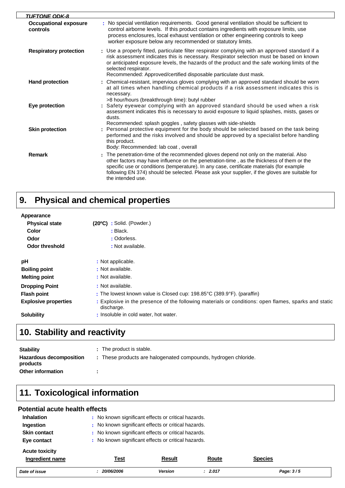| TUFTONE ODK-8                            |                                                                                                                                                                                                                                                                                                                                                                                                         |
|------------------------------------------|---------------------------------------------------------------------------------------------------------------------------------------------------------------------------------------------------------------------------------------------------------------------------------------------------------------------------------------------------------------------------------------------------------|
| <b>Occupational exposure</b><br>controls | No special ventilation requirements. Good general ventilation should be sufficient to<br>control airborne levels. If this product contains ingredients with exposure limits, use<br>process enclosures, local exhaust ventilation or other engineering controls to keep<br>worker exposure below any recommended or statutory limits.                                                                   |
| <b>Respiratory protection</b>            | : Use a properly fitted, particulate filter respirator complying with an approved standard if a<br>risk assessment indicates this is necessary. Respirator selection must be based on known<br>or anticipated exposure levels, the hazards of the product and the safe working limits of the<br>selected respirator.<br>Recommended: Approved/certified disposable particulate dust mask.               |
| <b>Hand protection</b>                   | : Chemical-resistant, impervious gloves complying with an approved standard should be worn<br>at all times when handling chemical products if a risk assessment indicates this is<br>necessary.<br>>8 hour/hours (breakthrough time): butyl rubber                                                                                                                                                      |
| Eye protection                           | : Safety eyewear complying with an approved standard should be used when a risk<br>assessment indicates this is necessary to avoid exposure to liquid splashes, mists, gases or<br>dusts.<br>Recommended: splash goggles, safety glasses with side-shields                                                                                                                                              |
| <b>Skin protection</b>                   | : Personal protective equipment for the body should be selected based on the task being<br>performed and the risks involved and should be approved by a specialist before handling<br>this product.<br>Body: Recommended: lab coat, overall                                                                                                                                                             |
| <b>Remark</b>                            | : The penetration-time of the recommended gloves depend not only on the material. Also<br>other factors may have influence on the penetration-time, as the thickness of them or the<br>specific use or conditions (temperature). In any case, certificate materials (for example<br>following EN 374) should be selected. Please ask your supplier, if the gloves are suitable for<br>the intended use. |

#### **Physical and chemical properties 9.**

| Appearance                  |                                                                                                                    |
|-----------------------------|--------------------------------------------------------------------------------------------------------------------|
| <b>Physical state</b>       | $(20^{\circ}C)$ : Solid. (Powder.)                                                                                 |
| Color                       | $:$ Black.                                                                                                         |
| Odor                        | : Odorless.                                                                                                        |
| Odor threshold              | : Not available.                                                                                                   |
| pH                          | : Not applicable.                                                                                                  |
| <b>Boiling point</b>        | : Not available.                                                                                                   |
| <b>Melting point</b>        | : Not available.                                                                                                   |
| <b>Dropping Point</b>       | : Not available.                                                                                                   |
| <b>Flash point</b>          | : The lowest known value is Closed cup: $198.85^{\circ}$ C (389.9 $^{\circ}$ F). (paraffin)                        |
| <b>Explosive properties</b> | : Explosive in the presence of the following materials or conditions: open flames, sparks and static<br>discharge. |
| <b>Solubility</b>           | : Insoluble in cold water, hot water.                                                                              |

# **10. Stability and reactivity**

| <b>Stability</b>                    | : The product is stable.                                       |
|-------------------------------------|----------------------------------------------------------------|
| Hazardous decomposition<br>products | : These products are halogenated compounds, hydrogen chloride. |
| Other information                   |                                                                |

# **11. Toxicological information**

#### **Potential acute health effects**

| <b>Inhalation</b>     | No known significant effects or critical hazards. |                                                   |              |                |  |  |  |
|-----------------------|---------------------------------------------------|---------------------------------------------------|--------------|----------------|--|--|--|
| Ingestion             |                                                   | No known significant effects or critical hazards. |              |                |  |  |  |
| <b>Skin contact</b>   |                                                   | No known significant effects or critical hazards. |              |                |  |  |  |
| Eye contact           |                                                   | No known significant effects or critical hazards. |              |                |  |  |  |
| <b>Acute toxicity</b> |                                                   |                                                   |              |                |  |  |  |
| Ingredient name       | <u>Test</u>                                       | <b>Result</b>                                     | <b>Route</b> | <b>Species</b> |  |  |  |
| Date of issue         | 20/06/2006                                        | <b>Version</b>                                    | : 2.017      | Page: 3/5      |  |  |  |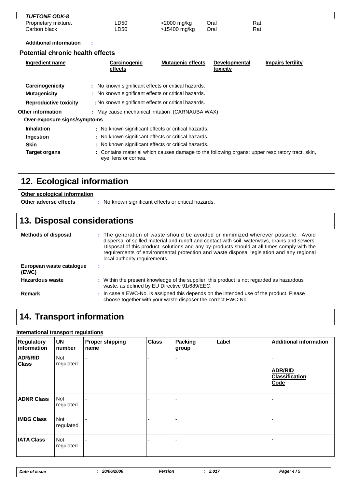| <b>TUFTONE ODK-8</b> |      |              |      |     |  |
|----------------------|------|--------------|------|-----|--|
| Proprietary mixture. | LD50 | >2000 mg/kg  | Oral | Rat |  |
| Carbon black         | ∟D50 | >15400 mg/kg | Oral | Rat |  |

**Additional information :**

 $\mathbf{I}$ 

#### **Potential chronic health effects**

| Ingredient name              | <b>Carcinogenic</b><br>effects                      | <b>Mutagenic effects</b> | <b>Developmental</b><br>toxicity | Impairs fertility                                                                               |
|------------------------------|-----------------------------------------------------|--------------------------|----------------------------------|-------------------------------------------------------------------------------------------------|
| Carcinogenicity              | : No known significant effects or critical hazards. |                          |                                  |                                                                                                 |
| <b>Mutagenicity</b>          | : No known significant effects or critical hazards. |                          |                                  |                                                                                                 |
| <b>Reproductive toxicity</b> | : No known significant effects or critical hazards. |                          |                                  |                                                                                                 |
| <b>Other information</b>     | : May cause mechanical irritation (CARNAUBA WAX)    |                          |                                  |                                                                                                 |
| Over-exposure signs/symptoms |                                                     |                          |                                  |                                                                                                 |
| <b>Inhalation</b>            | : No known significant effects or critical hazards. |                          |                                  |                                                                                                 |
| Ingestion                    | : No known significant effects or critical hazards. |                          |                                  |                                                                                                 |
| <b>Skin</b>                  | : No known significant effects or critical hazards. |                          |                                  |                                                                                                 |
| <b>Target organs</b>         | eye, lens or cornea.                                |                          |                                  | : Contains material which causes damage to the following organs: upper respiratory tract, skin, |

# **12. Ecological information**

### **Other ecological information**

**Other adverse effects** : No known significant effects or critical hazards.

# **13. Disposal considerations**

| <b>Methods of disposal</b>        | : The generation of waste should be avoided or minimized wherever possible. Avoid<br>dispersal of spilled material and runoff and contact with soil, waterways, drains and sewers.<br>Disposal of this product, solutions and any by-products should at all times comply with the<br>requirements of environmental protection and waste disposal legislation and any regional<br>local authority requirements. |
|-----------------------------------|----------------------------------------------------------------------------------------------------------------------------------------------------------------------------------------------------------------------------------------------------------------------------------------------------------------------------------------------------------------------------------------------------------------|
| European waste cataloque<br>(EWC) |                                                                                                                                                                                                                                                                                                                                                                                                                |
| Hazardous waste                   | Within the present knowledge of the supplier, this product is not regarded as hazardous<br>waste, as defined by EU Directive 91/689/EEC.                                                                                                                                                                                                                                                                       |
| Remark                            | : In case a EWC-No. is assigned this depends on the intended use of the product. Please<br>choose together with your waste disposer the correct EWC-No.                                                                                                                                                                                                                                                        |

# **14. Transport information**

#### **International transport regulations**

| <b>Regulatory</b><br>information | <b>UN</b><br>number      | <b>Proper shipping</b><br>name | <b>Class</b> | <b>Packing</b><br>group | Label | <b>Additional information</b>                   |
|----------------------------------|--------------------------|--------------------------------|--------------|-------------------------|-------|-------------------------------------------------|
| <b>ADR/RID</b><br><b>Class</b>   | <b>Not</b><br>regulated. | $\blacksquare$                 |              |                         |       | <b>ADR/RID</b><br><b>Classification</b><br>Code |
| <b>ADNR Class</b>                | <b>Not</b><br>regulated. |                                |              |                         |       |                                                 |
| <b>IMDG Class</b>                | Not<br>regulated.        |                                |              |                         |       |                                                 |
| <b>IATA Class</b>                | <b>Not</b><br>regulated. |                                |              |                         |       |                                                 |

| Date of issue | <i><b>20/06/2006</b></i> | <b>Version</b> | 2.017 | Page: $4/5$ |
|---------------|--------------------------|----------------|-------|-------------|
|---------------|--------------------------|----------------|-------|-------------|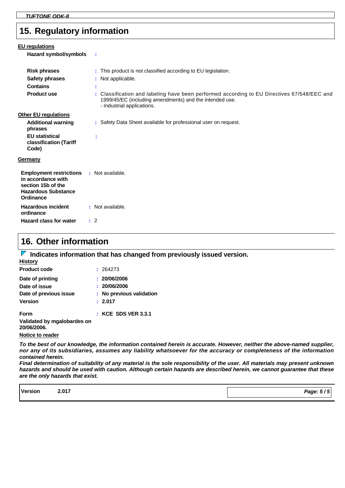### **15. Regulatory information**

| <b>EU</b> regulations<br>Hazard symbol/symbols                                                                                                           | ÷                                                                                                                                                                                                                                                                               |
|----------------------------------------------------------------------------------------------------------------------------------------------------------|---------------------------------------------------------------------------------------------------------------------------------------------------------------------------------------------------------------------------------------------------------------------------------|
| <b>Risk phrases</b><br><b>Safety phrases</b><br><b>Contains</b><br><b>Product use</b>                                                                    | : This product is not classified according to EU legislation.<br>: Not applicable.<br>÷<br>: Classification and labeling have been performed according to EU Directives 67/548/EEC and<br>1999/45/EC (including amendments) and the intended use.<br>- Industrial applications. |
| <b>Other EU regulations</b><br><b>Additional warning</b><br>phrases<br><b>EU</b> statistical<br>classification (Tariff<br>Code)                          | : Safety Data Sheet available for professional user on request.<br>÷                                                                                                                                                                                                            |
| <b>Germany</b><br><b>Employment restrictions : Not available.</b><br>in accordance with<br>section 15b of the<br><b>Hazardous Substance</b><br>Ordinance |                                                                                                                                                                                                                                                                                 |
| <b>Hazardous incident</b><br>ordinance<br>Hazard class for water                                                                                         | : Not available.<br>$\therefore$ 2                                                                                                                                                                                                                                              |

### **16. Other information**

**History IDED** Indicates information that has changed from previously issued version.

| : 264273                 |
|--------------------------|
| : 20/06/2006             |
| : 20/06/2006             |
| : No previous validation |
| : 2.017                  |
| $:$ KCE SDS VER 3.3.1    |
|                          |
|                          |

**Notice to reader**

*To the best of our knowledge, the information contained herein is accurate. However, neither the above-named supplier, nor any of its subsidiaries, assumes any liability whatsoever for the accuracy or completeness of the information contained herein.*

*Final determination of suitability of any material is the sole responsibility of the user. All materials may present unknown hazards and should be used with caution. Although certain hazards are described herein, we cannot guarantee that these are the only hazards that exist.*

| <b>Version</b><br>. | 2.017 | Page: 5/5 |
|---------------------|-------|-----------|
|                     |       |           |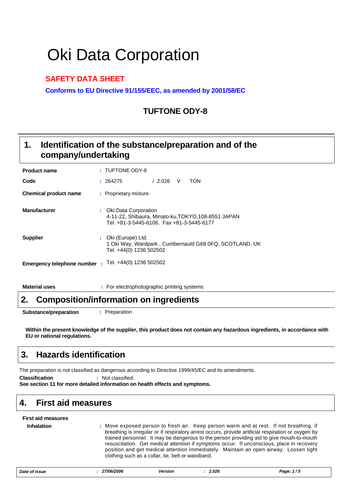# Oki Data Corporation

### **SAFETY DATA SHEET**

**Conforms to EU Directive 91/155/EEC, as amended by 2001/58/EC**

### **TUFTONE ODY-8**

#### **Identification of the substance/preparation and of the company/undertaking 1.**

| <b>Product name</b>        | : TUFTONE ODY-8                                                                                                            |
|----------------------------|----------------------------------------------------------------------------------------------------------------------------|
| Code                       | /2.026<br><b>TON</b><br>V<br>: 264275                                                                                      |
| Chemical product name      | : Proprietary mixture.                                                                                                     |
| <b>Manufacturer</b>        | : Oki Data Corporation<br>4-11-22, Shibaura, Minato-ku, TOKYO, 108-8551 JAPAN<br>Tel. +81-3-5445-6106. Fax +81-3-5445-6177 |
| <b>Supplier</b>            | : Oki (Europe) Ltd.<br>1 Oki Way, Wardpark, Cumbernauld G68 0FQ, SCOTLAND, UK<br>Tel. +44(0) 1236 502502                   |
| Emergency telephone number | : Tel. +44(0) 1236 502502                                                                                                  |

**Material uses :** For electrophotographic printing systems

### **2. Composition/information on ingredients**

**Substance/preparation :** Preparation

**Within the present knowledge of the supplier, this product does not contain any hazardous ingredients, in accordance with EU or national regulations.**

# **3. Hazards identification**

The preparation is not classified as dangerous according to Directive 1999/45/EC and its amendments.

**Classification :** Not classified.

**See section 11 for more detailed information on health effects and symptoms.**

### **4. First aid measures**

| <b>First aid measures</b> |                                                                                                                                                                                                                                                                                                                                                                                                                                                                                                                                        |
|---------------------------|----------------------------------------------------------------------------------------------------------------------------------------------------------------------------------------------------------------------------------------------------------------------------------------------------------------------------------------------------------------------------------------------------------------------------------------------------------------------------------------------------------------------------------------|
| <b>Inhalation</b>         | : Move exposed person to fresh air. Keep person warm and at rest. If not breathing, if<br>breathing is irregular or if respiratory arrest occurs, provide artificial respiration or oxygen by<br>trained personnel. It may be dangerous to the person providing aid to give mouth-to-mouth<br>resuscitation. Get medical attention if symptoms occur. If unconscious, place in recovery<br>position and get medical attention immediately. Maintain an open airway. Loosen tight<br>clothing such as a collar, tie, belt or waistband. |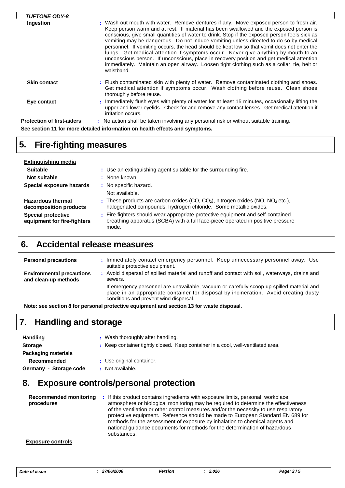| <b>TUFTONE ODY-8</b>              |                                                                                                                                                                                                                                                                                                                                                                                                                                                                                                                                                                                                                                                                                                                                                                        |
|-----------------------------------|------------------------------------------------------------------------------------------------------------------------------------------------------------------------------------------------------------------------------------------------------------------------------------------------------------------------------------------------------------------------------------------------------------------------------------------------------------------------------------------------------------------------------------------------------------------------------------------------------------------------------------------------------------------------------------------------------------------------------------------------------------------------|
| Ingestion                         | : Wash out mouth with water. Remove dentures if any. Move exposed person to fresh air.<br>Keep person warm and at rest. If material has been swallowed and the exposed person is<br>conscious, give small quantities of water to drink. Stop if the exposed person feels sick as<br>vomiting may be dangerous. Do not induce vomiting unless directed to do so by medical<br>personnel. If vomiting occurs, the head should be kept low so that vomit does not enter the<br>lungs. Get medical attention if symptoms occur. Never give anything by mouth to an<br>unconscious person. If unconscious, place in recovery position and get medical attention<br>immediately. Maintain an open airway. Loosen tight clothing such as a collar, tie, belt or<br>waistband. |
| <b>Skin contact</b>               | : Flush contaminated skin with plenty of water. Remove contaminated clothing and shoes.<br>Get medical attention if symptoms occur. Wash clothing before reuse. Clean shoes<br>thoroughly before reuse.                                                                                                                                                                                                                                                                                                                                                                                                                                                                                                                                                                |
| Eye contact                       | : Immediately flush eyes with plenty of water for at least 15 minutes, occasionally lifting the<br>upper and lower eyelids. Check for and remove any contact lenses. Get medical attention if<br>irritation occurs.                                                                                                                                                                                                                                                                                                                                                                                                                                                                                                                                                    |
| <b>Protection of first-aiders</b> | : No action shall be taken involving any personal risk or without suitable training.                                                                                                                                                                                                                                                                                                                                                                                                                                                                                                                                                                                                                                                                                   |
|                                   | See section 11 for more detailed information on health effects and symptoms.                                                                                                                                                                                                                                                                                                                                                                                                                                                                                                                                                                                                                                                                                           |

# **5. Fire-fighting measures**

 $\Gamma$ 

| <b>Extinguishing media</b>                               |                                                                                                                                                                             |
|----------------------------------------------------------|-----------------------------------------------------------------------------------------------------------------------------------------------------------------------------|
| <b>Suitable</b>                                          | : Use an extinguishing agent suitable for the surrounding fire.                                                                                                             |
| Not suitable                                             | None known.                                                                                                                                                                 |
| Special exposure hazards                                 | : No specific hazard.                                                                                                                                                       |
|                                                          | Not available.                                                                                                                                                              |
| <b>Hazardous thermal</b><br>decomposition products       | : These products are carbon oxides (CO, $CO2$ ), nitrogen oxides (NO, $NO2$ etc.),<br>halogenated compounds, hydrogen chloride. Some metallic oxides.                       |
| <b>Special protective</b><br>equipment for fire-fighters | : Fire-fighters should wear appropriate protective equipment and self-contained<br>breathing apparatus (SCBA) with a full face-piece operated in positive pressure<br>mode. |

### **6. Accidental release measures**

| <b>Personal precautions</b>                              | Immediately contact emergency personnel. Keep unnecessary personnel away. Use<br>suitable protective equipment.                                                                                                             |
|----------------------------------------------------------|-----------------------------------------------------------------------------------------------------------------------------------------------------------------------------------------------------------------------------|
| <b>Environmental precautions</b><br>and clean-up methods | : Avoid dispersal of spilled material and runoff and contact with soil, waterways, drains and<br>sewers.                                                                                                                    |
|                                                          | If emergency personnel are unavailable, vacuum or carefully scoop up spilled material and<br>place in an appropriate container for disposal by incineration. Avoid creating dusty<br>conditions and prevent wind dispersal. |

**Note: see section 8 for personal protective equipment and section 13 for waste disposal.**

# **7. Handling and storage**

| <b>Handling</b>            | Wash thoroughly after handling.                                                  |
|----------------------------|----------------------------------------------------------------------------------|
| <b>Storage</b>             | : Keep container tightly closed. Keep container in a cool, well-ventilated area. |
| <b>Packaging materials</b> |                                                                                  |
| <b>Recommended</b>         | : Use original container.                                                        |
| Germany - Storage code     | Not available.                                                                   |

# **8. Exposure controls/personal protection**

| Recommended monitoring<br>procedures | : If this product contains ingredients with exposure limits, personal, workplace<br>atmosphere or biological monitoring may be required to determine the effectiveness<br>of the ventilation or other control measures and/or the necessity to use respiratory<br>protective equipment. Reference should be made to European Standard EN 689 for<br>methods for the assessment of exposure by inhalation to chemical agents and<br>national quidance documents for methods for the determination of hazardous<br>substances. |
|--------------------------------------|------------------------------------------------------------------------------------------------------------------------------------------------------------------------------------------------------------------------------------------------------------------------------------------------------------------------------------------------------------------------------------------------------------------------------------------------------------------------------------------------------------------------------|
|                                      |                                                                                                                                                                                                                                                                                                                                                                                                                                                                                                                              |

#### **Exposure controls**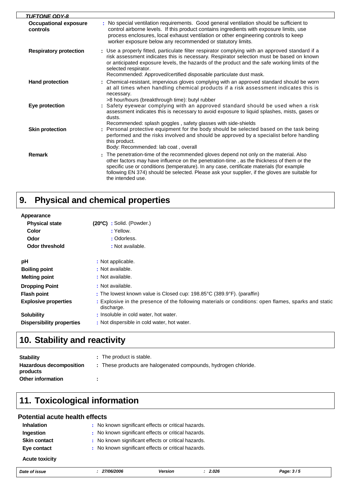| <b>TUFTONE ODY-8</b>                     |                                                                                                                                                                                                                                                                                                                                                                                                         |
|------------------------------------------|---------------------------------------------------------------------------------------------------------------------------------------------------------------------------------------------------------------------------------------------------------------------------------------------------------------------------------------------------------------------------------------------------------|
| <b>Occupational exposure</b><br>controls | No special ventilation requirements. Good general ventilation should be sufficient to<br>control airborne levels. If this product contains ingredients with exposure limits, use<br>process enclosures, local exhaust ventilation or other engineering controls to keep<br>worker exposure below any recommended or statutory limits.                                                                   |
| <b>Respiratory protection</b>            | : Use a properly fitted, particulate filter respirator complying with an approved standard if a<br>risk assessment indicates this is necessary. Respirator selection must be based on known<br>or anticipated exposure levels, the hazards of the product and the safe working limits of the<br>selected respirator.<br>Recommended: Approved/certified disposable particulate dust mask.               |
| <b>Hand protection</b>                   | : Chemical-resistant, impervious gloves complying with an approved standard should be worn<br>at all times when handling chemical products if a risk assessment indicates this is<br>necessary.<br>>8 hour/hours (breakthrough time): butyl rubber                                                                                                                                                      |
| Eye protection                           | : Safety eyewear complying with an approved standard should be used when a risk<br>assessment indicates this is necessary to avoid exposure to liquid splashes, mists, gases or<br>dusts.<br>Recommended: splash goggles, safety glasses with side-shields                                                                                                                                              |
| <b>Skin protection</b>                   | : Personal protective equipment for the body should be selected based on the task being<br>performed and the risks involved and should be approved by a specialist before handling<br>this product.<br>Body: Recommended: lab coat, overall                                                                                                                                                             |
| <b>Remark</b>                            | : The penetration-time of the recommended gloves depend not only on the material. Also<br>other factors may have influence on the penetration-time, as the thickness of them or the<br>specific use or conditions (temperature). In any case, certificate materials (for example<br>following EN 374) should be selected. Please ask your supplier, if the gloves are suitable for<br>the intended use. |

#### **Physical and chemical properties 9.**

| Appearance                       |                                                                                                                    |
|----------------------------------|--------------------------------------------------------------------------------------------------------------------|
| <b>Physical state</b>            | $(20^{\circ}C)$ : Solid. (Powder.)                                                                                 |
| Color                            | : Yellow.                                                                                                          |
| Odor                             | : Odorless.                                                                                                        |
| Odor threshold                   | : Not available.                                                                                                   |
| рH                               | : Not applicable.                                                                                                  |
| <b>Boiling point</b>             | : Not available.                                                                                                   |
| <b>Melting point</b>             | : Not available.                                                                                                   |
| <b>Dropping Point</b>            | : Not available.                                                                                                   |
| <b>Flash point</b>               | : The lowest known value is Closed cup: $198.85^{\circ}$ C (389.9 $^{\circ}$ F). (paraffin)                        |
| <b>Explosive properties</b>      | : Explosive in the presence of the following materials or conditions: open flames, sparks and static<br>discharge. |
| <b>Solubility</b>                | : Insoluble in cold water, hot water.                                                                              |
| <b>Dispersibility properties</b> | : Not dispersible in cold water, hot water.                                                                        |

# **10. Stability and reactivity**

| <b>Stability</b>                           | : The product is stable.                                       |
|--------------------------------------------|----------------------------------------------------------------|
| <b>Hazardous decomposition</b><br>products | : These products are halogenated compounds, hydrogen chloride. |
| <b>Other information</b>                   |                                                                |

# **11. Toxicological information**

#### **Potential acute health effects**

| <b>Inhalation</b>     | : No known significant effects or critical hazards. |  |
|-----------------------|-----------------------------------------------------|--|
| Ingestion             | : No known significant effects or critical hazards. |  |
| <b>Skin contact</b>   | : No known significant effects or critical hazards. |  |
| Eye contact           | : No known significant effects or critical hazards. |  |
| <b>Acute toxicity</b> |                                                     |  |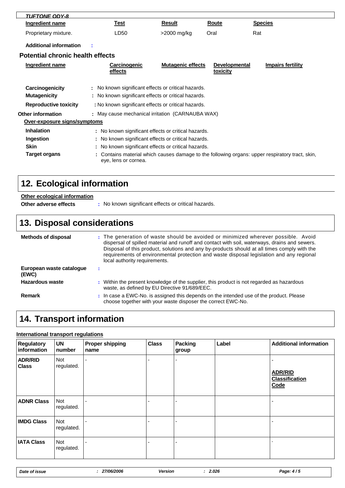| <b>TUFTONE ODY-8</b>                   |                                                                                                            |                          |                                  |                                                                                                 |  |
|----------------------------------------|------------------------------------------------------------------------------------------------------------|--------------------------|----------------------------------|-------------------------------------------------------------------------------------------------|--|
| Ingredient name                        | <u>Test</u>                                                                                                | Result                   | Route                            | <b>Species</b>                                                                                  |  |
| Proprietary mixture.                   | LD50                                                                                                       | >2000 mg/kg              | Oral                             | Rat                                                                                             |  |
| <b>Additional information</b>          |                                                                                                            |                          |                                  |                                                                                                 |  |
| Potential chronic health effects       |                                                                                                            |                          |                                  |                                                                                                 |  |
| Ingredient name                        | <b>Carcinogenic</b><br>effects                                                                             | <b>Mutagenic effects</b> | <b>Developmental</b><br>toxicity | <b>Impairs fertility</b>                                                                        |  |
| Carcinogenicity<br><b>Mutagenicity</b> | : No known significant effects or critical hazards.<br>: No known significant effects or critical hazards. |                          |                                  |                                                                                                 |  |
| <b>Reproductive toxicity</b>           | : No known significant effects or critical hazards.                                                        |                          |                                  |                                                                                                 |  |
| <b>Other information</b>               | : May cause mechanical irritation (CARNAUBA WAX)                                                           |                          |                                  |                                                                                                 |  |
| Over-exposure signs/symptoms           |                                                                                                            |                          |                                  |                                                                                                 |  |
| <b>Inhalation</b>                      | : No known significant effects or critical hazards.                                                        |                          |                                  |                                                                                                 |  |
| Ingestion                              | : No known significant effects or critical hazards.                                                        |                          |                                  |                                                                                                 |  |
| <b>Skin</b>                            | : No known significant effects or critical hazards.                                                        |                          |                                  |                                                                                                 |  |
| <b>Target organs</b>                   | eye, lens or cornea.                                                                                       |                          |                                  | : Contains material which causes damage to the following organs: upper respiratory tract, skin, |  |

# **12. Ecological information**

| Other ecological information<br>Other adverse effects | : No known significant effects or critical hazards.                                                                                                                                                                                                                                                                                                                                                            |  |  |  |
|-------------------------------------------------------|----------------------------------------------------------------------------------------------------------------------------------------------------------------------------------------------------------------------------------------------------------------------------------------------------------------------------------------------------------------------------------------------------------------|--|--|--|
| <b>13. Disposal considerations</b>                    |                                                                                                                                                                                                                                                                                                                                                                                                                |  |  |  |
| <b>Methods of disposal</b>                            | : The generation of waste should be avoided or minimized wherever possible. Avoid<br>dispersal of spilled material and runoff and contact with soil, waterways, drains and sewers.<br>Disposal of this product, solutions and any by-products should at all times comply with the<br>requirements of environmental protection and waste disposal legislation and any regional<br>local authority requirements. |  |  |  |
| European waste cataloque<br>(EWC)                     |                                                                                                                                                                                                                                                                                                                                                                                                                |  |  |  |
| <b>Hazardous waste</b>                                | : Within the present knowledge of the supplier, this product is not regarded as hazardous<br>waste, as defined by EU Directive 91/689/EEC.                                                                                                                                                                                                                                                                     |  |  |  |
| <b>Remark</b>                                         | : In case a EWC-No. is assigned this depends on the intended use of the product. Please                                                                                                                                                                                                                                                                                                                        |  |  |  |

choose together with your waste disposer the correct EWC-No.

# **14. Transport information**

#### **International transport regulations**

| <b>Regulatory</b><br>information | <b>UN</b><br>number | <b>Proper shipping</b><br>name | <b>Class</b> | <b>Packing</b><br>group | Label | <b>Additional information</b>                   |
|----------------------------------|---------------------|--------------------------------|--------------|-------------------------|-------|-------------------------------------------------|
| <b>ADR/RID</b><br><b>Class</b>   | Not<br>regulated.   |                                |              |                         |       | <b>ADR/RID</b><br><b>Classification</b><br>Code |
| <b>ADNR Class</b>                | Not<br>regulated.   |                                |              |                         |       |                                                 |
| <b>IMDG Class</b>                | Not<br>regulated.   |                                |              |                         |       |                                                 |
| <b>IATA Class</b>                | Not<br>regulated.   |                                |              |                         |       |                                                 |

| 27/06/2006<br>2.026<br>Date of issue<br>Version | Page: 4/5 |
|-------------------------------------------------|-----------|
|-------------------------------------------------|-----------|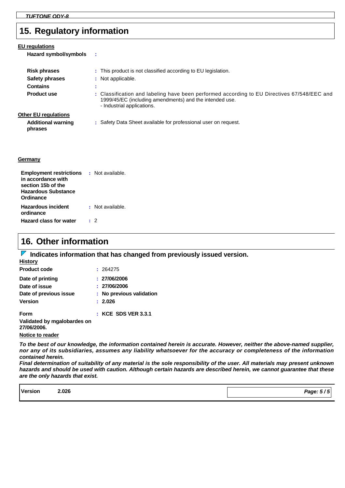### **15. Regulatory information**

| EU regulations<br>Hazard symbol/symbols | ÷                                                                                                                                                                                    |
|-----------------------------------------|--------------------------------------------------------------------------------------------------------------------------------------------------------------------------------------|
| <b>Risk phrases</b>                     | : This product is not classified according to EU legislation.                                                                                                                        |
| <b>Safety phrases</b>                   | : Not applicable.                                                                                                                                                                    |
| <b>Contains</b>                         | ж.<br>$\mathbf{r}$                                                                                                                                                                   |
| <b>Product use</b>                      | : Classification and labeling have been performed according to EU Directives 67/548/EEC and<br>1999/45/EC (including amendments) and the intended use.<br>- Industrial applications. |
| <b>Other EU regulations</b>             |                                                                                                                                                                                      |
| <b>Additional warning</b><br>phrases    | : Safety Data Sheet available for professional user on request.                                                                                                                      |
| Germany                                 |                                                                                                                                                                                      |

| <b>Employment restrictions</b><br>in accordance with<br>section 15b of the<br><b>Hazardous Substance</b><br>Ordinance | : Not available. |
|-----------------------------------------------------------------------------------------------------------------------|------------------|
| <b>Hazardous incident</b><br>ordinance                                                                                | : Not available. |
| <b>Hazard class for water</b>                                                                                         | . 2              |

### **16. Other information**

**IDED** Indicates information that has changed from previously issued version.

| <b>History</b>                             |                          |
|--------------------------------------------|--------------------------|
| <b>Product code</b>                        | : 264275                 |
| Date of printing                           | : 27/06/2006             |
| Date of issue                              | : 27/06/2006             |
| Date of previous issue                     | : No previous validation |
| <b>Version</b>                             | : 2.026                  |
| <b>Form</b>                                | $:$ KCE SDS VER 3.3.1    |
| Validated by mgalobardes on<br>27/06/2006. |                          |

**Notice to reader**

*To the best of our knowledge, the information contained herein is accurate. However, neither the above-named supplier, nor any of its subsidiaries, assumes any liability whatsoever for the accuracy or completeness of the information contained herein.*

*Final determination of suitability of any material is the sole responsibility of the user. All materials may present unknown hazards and should be used with caution. Although certain hazards are described herein, we cannot guarantee that these are the only hazards that exist.*

| <b>Version</b> | 2.026 | Page: $5/5$ |
|----------------|-------|-------------|
|                |       |             |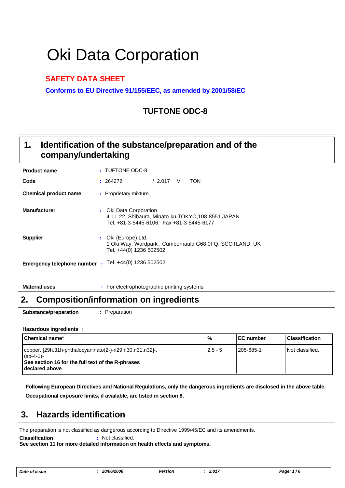# Oki Data Corporation

### **SAFETY DATA SHEET**

**Conforms to EU Directive 91/155/EEC, as amended by 2001/58/EC**

### **TUFTONE ODC-8**

#### **Identification of the substance/preparation and of the company/undertaking 1.**

| <b>Product name</b>               |              | : TUFTONE ODC-8                                                                                                            |
|-----------------------------------|--------------|----------------------------------------------------------------------------------------------------------------------------|
| Code                              |              | TON<br>/2.017<br>V<br>: 264272                                                                                             |
| Chemical product name             |              | : Proprietary mixture.                                                                                                     |
| <b>Manufacturer</b>               |              | : Oki Data Corporation<br>4-11-22, Shibaura, Minato-ku, TOKYO, 108-8551 JAPAN<br>Tel. +81-3-5445-6106. Fax +81-3-5445-6177 |
| <b>Supplier</b>                   | $\mathbf{L}$ | Oki (Europe) Ltd.<br>1 Oki Way, Wardpark, Cumbernauld G68 0FQ, SCOTLAND, UK<br>Tel. +44(0) 1236 502502                     |
| <b>Emergency telephone number</b> | ÷            | Tel. +44(0) 1236 502502                                                                                                    |

**Material uses :** For electrophotographic printing systems

### **2. Composition/information on ingredients**

**Substance/preparation :** Preparation

#### **Hazardous ingredients :**

| <b>I</b> Chemical name*                                                                                                                         | $\frac{9}{6}$ | <b>IEC number</b> | l Classification  |
|-------------------------------------------------------------------------------------------------------------------------------------------------|---------------|-------------------|-------------------|
| copper, [29h,31h-phthalocyaninato(2-)-n29,n30,n31,n32]-,<br>$(sp-4-1)$ -<br>See section 16 for the full text of the R-phrases<br>declared above | $2.5 - 5$     | 205-685-1         | l Not classified. |

**Occupational exposure limits, if available, are listed in section 8. Following European Directives and National Regulations, only the dangerous ingredients are disclosed in the above table.**

### **3. Hazards identification**

The preparation is not classified as dangerous according to Directive 1999/45/EC and its amendments.

**Classification :** Not classified.

**See section 11 for more detailed information on health effects and symptoms.**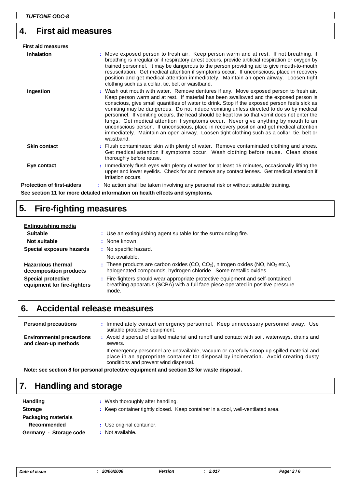### **4. First aid measures**

| <b>First aid measures</b>         |                                                                                                                                                                                                                                                                                                                                                                                                                                                                                                                                                                                                                                                                                                                                                                        |
|-----------------------------------|------------------------------------------------------------------------------------------------------------------------------------------------------------------------------------------------------------------------------------------------------------------------------------------------------------------------------------------------------------------------------------------------------------------------------------------------------------------------------------------------------------------------------------------------------------------------------------------------------------------------------------------------------------------------------------------------------------------------------------------------------------------------|
| <b>Inhalation</b>                 | : Move exposed person to fresh air. Keep person warm and at rest. If not breathing, if<br>breathing is irregular or if respiratory arrest occurs, provide artificial respiration or oxygen by<br>trained personnel. It may be dangerous to the person providing aid to give mouth-to-mouth<br>resuscitation. Get medical attention if symptoms occur. If unconscious, place in recovery<br>position and get medical attention immediately. Maintain an open airway. Loosen tight<br>clothing such as a collar, tie, belt or waistband.                                                                                                                                                                                                                                 |
| Ingestion                         | : Wash out mouth with water. Remove dentures if any. Move exposed person to fresh air.<br>Keep person warm and at rest. If material has been swallowed and the exposed person is<br>conscious, give small quantities of water to drink. Stop if the exposed person feels sick as<br>vomiting may be dangerous. Do not induce vomiting unless directed to do so by medical<br>personnel. If vomiting occurs, the head should be kept low so that vomit does not enter the<br>lungs. Get medical attention if symptoms occur. Never give anything by mouth to an<br>unconscious person. If unconscious, place in recovery position and get medical attention<br>immediately. Maintain an open airway. Loosen tight clothing such as a collar, tie, belt or<br>waistband. |
| <b>Skin contact</b>               | : Flush contaminated skin with plenty of water. Remove contaminated clothing and shoes.<br>Get medical attention if symptoms occur. Wash clothing before reuse. Clean shoes<br>thoroughly before reuse.                                                                                                                                                                                                                                                                                                                                                                                                                                                                                                                                                                |
| Eye contact                       | : Immediately flush eyes with plenty of water for at least 15 minutes, occasionally lifting the<br>upper and lower eyelids. Check for and remove any contact lenses. Get medical attention if<br>irritation occurs.                                                                                                                                                                                                                                                                                                                                                                                                                                                                                                                                                    |
| <b>Protection of first-aiders</b> | : No action shall be taken involving any personal risk or without suitable training.                                                                                                                                                                                                                                                                                                                                                                                                                                                                                                                                                                                                                                                                                   |
|                                   | See section 11 for more detailed information on health effects and symptoms.                                                                                                                                                                                                                                                                                                                                                                                                                                                                                                                                                                                                                                                                                           |

# **5. Fire-fighting measures**

| Extinguishing media                                      |                                                                                                                                                                             |  |
|----------------------------------------------------------|-----------------------------------------------------------------------------------------------------------------------------------------------------------------------------|--|
| <b>Suitable</b>                                          | : Use an extinguishing agent suitable for the surrounding fire.                                                                                                             |  |
| Not suitable                                             | None known.                                                                                                                                                                 |  |
| Special exposure hazards                                 | : No specific hazard.                                                                                                                                                       |  |
|                                                          | Not available.                                                                                                                                                              |  |
| <b>Hazardous thermal</b><br>decomposition products       | : These products are carbon oxides $(CO, CO2)$ , nitrogen oxides $(NO, NO2 etc.),$<br>halogenated compounds, hydrogen chloride. Some metallic oxides.                       |  |
| <b>Special protective</b><br>equipment for fire-fighters | : Fire-fighters should wear appropriate protective equipment and self-contained<br>breathing apparatus (SCBA) with a full face-piece operated in positive pressure<br>mode. |  |

### **6. Accidental release measures**

| <b>Personal precautions</b>                              | : Immediately contact emergency personnel. Keep unnecessary personnel away. Use<br>suitable protective equipment.                                                                                                           |
|----------------------------------------------------------|-----------------------------------------------------------------------------------------------------------------------------------------------------------------------------------------------------------------------------|
| <b>Environmental precautions</b><br>and clean-up methods | : Avoid dispersal of spilled material and runoff and contact with soil, waterways, drains and<br>sewers.                                                                                                                    |
|                                                          | If emergency personnel are unavailable, vacuum or carefully scoop up spilled material and<br>place in an appropriate container for disposal by incineration. Avoid creating dusty<br>conditions and prevent wind dispersal. |

**Note: see section 8 for personal protective equipment and section 13 for waste disposal.**

# **7. Handling and storage**

| <b>Handling</b>            | : Wash thoroughly after handling.                                                |
|----------------------------|----------------------------------------------------------------------------------|
| <b>Storage</b>             | : Keep container tightly closed. Keep container in a cool, well-ventilated area. |
| <b>Packaging materials</b> |                                                                                  |
| <b>Recommended</b>         | : Use original container.                                                        |
| Germany - Storage code     | Not available.                                                                   |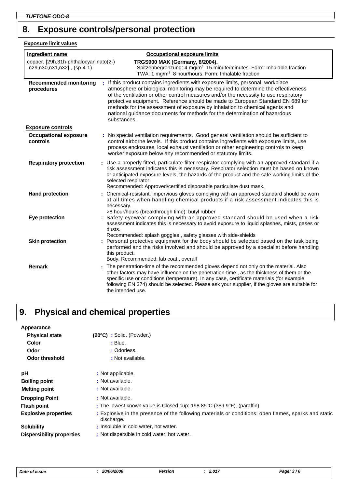# **8. Exposure controls/personal protection**

**Exposure limit values**

| Ingredient name                                                        | <b>Occupational exposure limits</b>                                                                                                                                                                                                                                                                                                                                                                                                                                                                                          |
|------------------------------------------------------------------------|------------------------------------------------------------------------------------------------------------------------------------------------------------------------------------------------------------------------------------------------------------------------------------------------------------------------------------------------------------------------------------------------------------------------------------------------------------------------------------------------------------------------------|
| copper, [29h,31h-phthalocyaninato(2-)<br>-n29,n30,n31,n32]-, (sp-4-1)- | <b>TRGS900 MAK (Germany, 8/2004).</b><br>Spitzenbegrenzung: 4 mg/m <sup>3</sup> 15 minute/minutes. Form: Inhalable fraction<br>TWA: 1 mg/m <sup>3</sup> 8 hour/hours. Form: Inhalable fraction                                                                                                                                                                                                                                                                                                                               |
| <b>Recommended monitoring</b><br>procedures                            | : If this product contains ingredients with exposure limits, personal, workplace<br>atmosphere or biological monitoring may be required to determine the effectiveness<br>of the ventilation or other control measures and/or the necessity to use respiratory<br>protective equipment. Reference should be made to European Standard EN 689 for<br>methods for the assessment of exposure by inhalation to chemical agents and<br>national guidance documents for methods for the determination of hazardous<br>substances. |
| <b>Exposure controls</b>                                               |                                                                                                                                                                                                                                                                                                                                                                                                                                                                                                                              |
| <b>Occupational exposure</b><br>controls                               | : No special ventilation requirements. Good general ventilation should be sufficient to<br>control airborne levels. If this product contains ingredients with exposure limits, use<br>process enclosures, local exhaust ventilation or other engineering controls to keep<br>worker exposure below any recommended or statutory limits.                                                                                                                                                                                      |
| <b>Respiratory protection</b>                                          | : Use a properly fitted, particulate filter respirator complying with an approved standard if a<br>risk assessment indicates this is necessary. Respirator selection must be based on known<br>or anticipated exposure levels, the hazards of the product and the safe working limits of the<br>selected respirator.<br>Recommended: Approved/certified disposable particulate dust mask.                                                                                                                                    |
| <b>Hand protection</b>                                                 | Chemical-resistant, impervious gloves complying with an approved standard should be worn<br>at all times when handling chemical products if a risk assessment indicates this is<br>necessary.                                                                                                                                                                                                                                                                                                                                |
| Eye protection                                                         | >8 hour/hours (breakthrough time): butyl rubber<br>: Safety eyewear complying with an approved standard should be used when a risk<br>assessment indicates this is necessary to avoid exposure to liquid splashes, mists, gases or<br>dusts.                                                                                                                                                                                                                                                                                 |
| <b>Skin protection</b>                                                 | Recommended: splash goggles, safety glasses with side-shields<br>: Personal protective equipment for the body should be selected based on the task being<br>performed and the risks involved and should be approved by a specialist before handling<br>this product.<br>Body: Recommended: lab coat, overall                                                                                                                                                                                                                 |
| <b>Remark</b>                                                          | : The penetration-time of the recommended gloves depend not only on the material. Also<br>other factors may have influence on the penetration-time, as the thickness of them or the<br>specific use or conditions (temperature). In any case, certificate materials (for example<br>following EN 374) should be selected. Please ask your supplier, if the gloves are suitable for<br>the intended use.                                                                                                                      |

#### **Physical and chemical properties 9.**

| Appearance                  |                                                                                                                    |
|-----------------------------|--------------------------------------------------------------------------------------------------------------------|
| <b>Physical state</b>       | $(20^{\circ}C)$ : Solid. (Powder.)                                                                                 |
| Color                       | : Blue.                                                                                                            |
| Odor                        | : Odorless.                                                                                                        |
| <b>Odor threshold</b>       | : Not available.                                                                                                   |
| рH                          | : Not applicable.                                                                                                  |
| <b>Boiling point</b>        | : Not available.                                                                                                   |
| <b>Melting point</b>        | : Not available.                                                                                                   |
| <b>Dropping Point</b>       | : Not available.                                                                                                   |
| <b>Flash point</b>          | : The lowest known value is Closed cup: $198.85^{\circ}$ C (389.9 $^{\circ}$ F). (paraffin)                        |
| <b>Explosive properties</b> | : Explosive in the presence of the following materials or conditions: open flames, sparks and static<br>discharge. |
| <b>Solubility</b>           | : Insoluble in cold water, hot water.                                                                              |
| Dispersibility properties   | : Not dispersible in cold water, hot water.                                                                        |

| Date of issue |  |
|---------------|--|
|---------------|--|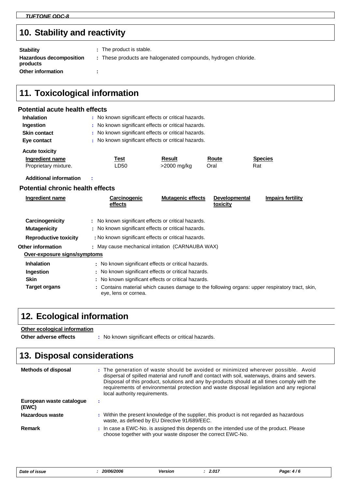# **10. Stability and reactivity**

| <b>Stability</b>                    | : The product is stable.                                       |
|-------------------------------------|----------------------------------------------------------------|
| Hazardous decomposition<br>products | : These products are halogenated compounds, hydrogen chloride. |
| <b>Other information</b>            |                                                                |

## **11. Toxicological information**

#### **Potential acute health effects**

| <b>Inhalation</b>     |      | : No known significant effects or critical hazards. |       |                |
|-----------------------|------|-----------------------------------------------------|-------|----------------|
| Ingestion             |      | : No known significant effects or critical hazards. |       |                |
| <b>Skin contact</b>   |      | : No known significant effects or critical hazards. |       |                |
| Eye contact           |      | : No known significant effects or critical hazards. |       |                |
| <b>Acute toxicity</b> |      |                                                     |       |                |
| Ingredient name       | Test | <b>Result</b>                                       | Route | <b>Species</b> |
| Proprietary mixture.  | LD50 | >2000 mg/kg                                         | Oral  | Rat            |

**Additional information :**

#### **Potential chronic health effects**

| Ingredient name                        | Carcinogenic<br>effects                                                                                    | <b>Mutagenic effects</b> | <b>Developmental</b><br>toxicity | <b>Impairs fertility</b>                                                                        |  |
|----------------------------------------|------------------------------------------------------------------------------------------------------------|--------------------------|----------------------------------|-------------------------------------------------------------------------------------------------|--|
| Carcinogenicity<br><b>Mutagenicity</b> | : No known significant effects or critical hazards.<br>: No known significant effects or critical hazards. |                          |                                  |                                                                                                 |  |
| <b>Reproductive toxicity</b>           | : No known significant effects or critical hazards.                                                        |                          |                                  |                                                                                                 |  |
| <b>Other information</b>               | : May cause mechanical irritation (CARNAUBA WAX)                                                           |                          |                                  |                                                                                                 |  |
| Over-exposure signs/symptoms           |                                                                                                            |                          |                                  |                                                                                                 |  |
| <b>Inhalation</b>                      | : No known significant effects or critical hazards.                                                        |                          |                                  |                                                                                                 |  |
| Ingestion                              | : No known significant effects or critical hazards.                                                        |                          |                                  |                                                                                                 |  |
| <b>Skin</b>                            | : No known significant effects or critical hazards.                                                        |                          |                                  |                                                                                                 |  |
| <b>Target organs</b>                   | eye, lens or cornea.                                                                                       |                          |                                  | : Contains material which causes damage to the following organs: upper respiratory tract, skin, |  |

# **12. Ecological information**

#### **Other ecological information**

**Other adverse effects** : No known significant effects or critical hazards.

# **13. Disposal considerations**

| <b>Methods of disposal</b>        | : The generation of waste should be avoided or minimized wherever possible. Avoid<br>dispersal of spilled material and runoff and contact with soil, waterways, drains and sewers.<br>Disposal of this product, solutions and any by-products should at all times comply with the<br>requirements of environmental protection and waste disposal legislation and any regional<br>local authority requirements. |
|-----------------------------------|----------------------------------------------------------------------------------------------------------------------------------------------------------------------------------------------------------------------------------------------------------------------------------------------------------------------------------------------------------------------------------------------------------------|
| European waste cataloque<br>(EWC) |                                                                                                                                                                                                                                                                                                                                                                                                                |
| Hazardous waste                   | : Within the present knowledge of the supplier, this product is not regarded as hazardous<br>waste, as defined by EU Directive 91/689/EEC.                                                                                                                                                                                                                                                                     |
| Remark                            | : In case a EWC-No. is assigned this depends on the intended use of the product. Please<br>choose together with your waste disposer the correct EWC-No.                                                                                                                                                                                                                                                        |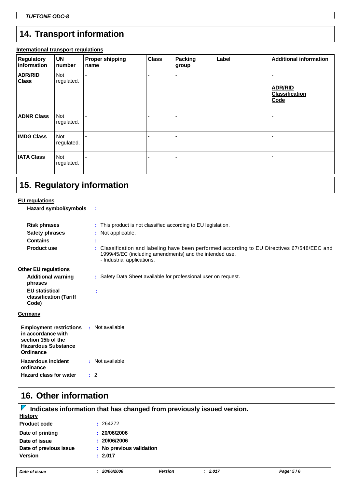# **14. Transport information**

#### **International transport regulations**

| <b>Regulatory</b><br>information | <b>UN</b><br>number      | <b>Proper shipping</b><br>name | <b>Class</b> | Packing<br>group | Label | <b>Additional information</b>                   |
|----------------------------------|--------------------------|--------------------------------|--------------|------------------|-------|-------------------------------------------------|
| <b>ADR/RID</b><br><b>Class</b>   | <b>Not</b><br>regulated. |                                |              |                  |       | <b>ADR/RID</b><br><b>Classification</b><br>Code |
| <b>ADNR Class</b>                | <b>Not</b><br>regulated. |                                |              |                  |       |                                                 |
| <b>IMDG Class</b>                | Not<br>regulated.        |                                |              |                  |       |                                                 |
| <b>IATA Class</b>                | Not<br>regulated.        |                                |              |                  |       |                                                 |

## **15. Regulatory information**

### **EU regulations**

| Hazard symbol/symbols |                                                                                                                                                                                      |
|-----------------------|--------------------------------------------------------------------------------------------------------------------------------------------------------------------------------------|
| <b>Risk phrases</b>   | : This product is not classified according to EU legislation.                                                                                                                        |
| <b>Safety phrases</b> | : Not applicable.                                                                                                                                                                    |
| <b>Contains</b>       |                                                                                                                                                                                      |
| <b>Product use</b>    | : Classification and labeling have been performed according to EU Directives 67/548/EEC and<br>1999/45/EC (including amendments) and the intended use.<br>- Industrial applications. |

#### **Other EU regulati**

| <b>Other EU requiations</b>                                                                                           |                                                                 |
|-----------------------------------------------------------------------------------------------------------------------|-----------------------------------------------------------------|
| <b>Additional warning</b><br>phrases                                                                                  | : Safety Data Sheet available for professional user on request. |
| <b>EU</b> statistical<br>classification (Tariff<br>Code)                                                              | ÷                                                               |
| Germany                                                                                                               |                                                                 |
| <b>Employment restrictions</b><br>in accordance with<br>section 15b of the<br><b>Hazardous Substance</b><br>Ordinance | : Not available.                                                |
| <b>Hazardous incident</b><br>ordinance                                                                                | : Not available.                                                |

#### **Hazard class for water :**

# **16. Other information**

#### **History Indicates information that has changed from previously issued version.**

| <b>Product code</b>    | : 264272                 |  |
|------------------------|--------------------------|--|
| Date of printing       | : 20/06/2006             |  |
| Date of issue          | : 20/06/2006             |  |
| Date of previous issue | : No previous validation |  |
| <b>Version</b>         | : 2.017                  |  |
|                        |                          |  |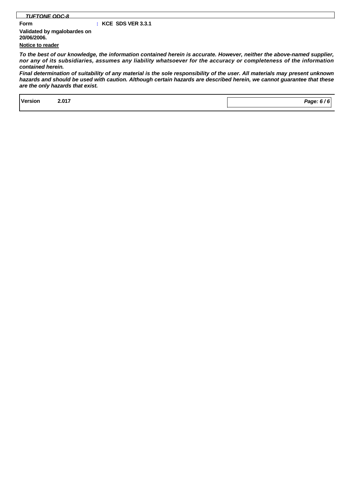#### *TUFTONE ODC-8*

#### **Form : KCE SDS VER 3.3.1**

**Notice to reader Validated by mgalobardes on 20/06/2006.**

*To the best of our knowledge, the information contained herein is accurate. However, neither the above-named supplier, nor any of its subsidiaries, assumes any liability whatsoever for the accuracy or completeness of the information contained herein.*

*Final determination of suitability of any material is the sole responsibility of the user. All materials may present unknown hazards and should be used with caution. Although certain hazards are described herein, we cannot guarantee that these are the only hazards that exist.*

| <b>Version</b><br>. | 2.017 |  | Page: 6 $\prime$ . |
|---------------------|-------|--|--------------------|
|                     |       |  |                    |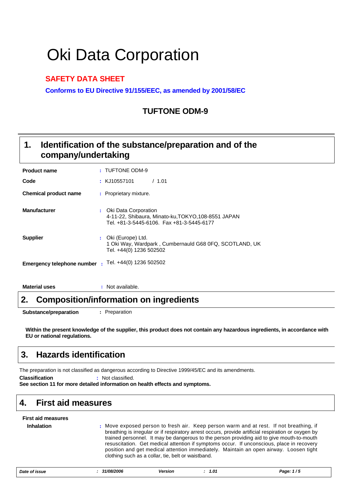# Oki Data Corporation

#### **SAFETY DATA SHEET**

**Conforms to EU Directive 91/155/EEC, as amended by 2001/58/EC**

### **TUFTONE ODM-9**

#### **Identification of the substance/preparation and of the company/undertaking 1.**

| <b>Product name</b>          |              | : TUFTONE ODM-9                                                                                                            |
|------------------------------|--------------|----------------------------------------------------------------------------------------------------------------------------|
| Code                         |              | : KJ10557101<br>/1.01                                                                                                      |
| <b>Chemical product name</b> |              | : Proprietary mixture.                                                                                                     |
| <b>Manufacturer</b>          |              | : Oki Data Corporation<br>4-11-22, Shibaura, Minato-ku, TOKYO, 108-8551 JAPAN<br>Tel. +81-3-5445-6106. Fax +81-3-5445-6177 |
| <b>Supplier</b>              |              | : Oki (Europe) Ltd.<br>1 Oki Way, Wardpark, Cumbernauld G68 0FQ, SCOTLAND, UK<br>Tel. +44(0) 1236 502502                   |
| Emergency telephone number   | $\mathbf{r}$ | Tel. +44(0) 1236 502502                                                                                                    |

**Material uses :** Not available.

### **2. Composition/information on ingredients**

**Substance/preparation :** Preparation

**Within the present knowledge of the supplier, this product does not contain any hazardous ingredients, in accordance with EU or national regulations.**

### **3. Hazards identification**

The preparation is not classified as dangerous according to Directive 1999/45/EC and its amendments.

**Classification :** Not classified.

**See section 11 for more detailed information on health effects and symptoms.**

### **4. First aid measures**

| <b>First aid measures</b> |                                                                                                                                                                                                                                                                                                                                                                                                                                                                                                                                        |
|---------------------------|----------------------------------------------------------------------------------------------------------------------------------------------------------------------------------------------------------------------------------------------------------------------------------------------------------------------------------------------------------------------------------------------------------------------------------------------------------------------------------------------------------------------------------------|
| <b>Inhalation</b>         | : Move exposed person to fresh air. Keep person warm and at rest. If not breathing, if<br>breathing is irregular or if respiratory arrest occurs, provide artificial respiration or oxygen by<br>trained personnel. It may be dangerous to the person providing aid to give mouth-to-mouth<br>resuscitation. Get medical attention if symptoms occur. If unconscious, place in recovery<br>position and get medical attention immediately. Maintain an open airway. Loosen tight<br>clothing such as a collar, tie, belt or waistband. |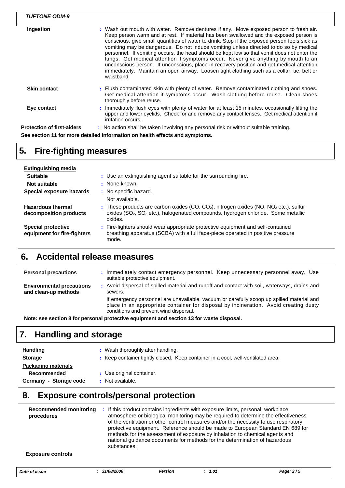| <b>TUFTONE ODM-9</b>              |                                                                                                                                                                                                                                                                                                                                                                                                                                                                                                                                                                                                                                                                                                                                                                        |
|-----------------------------------|------------------------------------------------------------------------------------------------------------------------------------------------------------------------------------------------------------------------------------------------------------------------------------------------------------------------------------------------------------------------------------------------------------------------------------------------------------------------------------------------------------------------------------------------------------------------------------------------------------------------------------------------------------------------------------------------------------------------------------------------------------------------|
| Ingestion                         | : Wash out mouth with water. Remove dentures if any. Move exposed person to fresh air.<br>Keep person warm and at rest. If material has been swallowed and the exposed person is<br>conscious, give small quantities of water to drink. Stop if the exposed person feels sick as<br>vomiting may be dangerous. Do not induce vomiting unless directed to do so by medical<br>personnel. If vomiting occurs, the head should be kept low so that vomit does not enter the<br>lungs. Get medical attention if symptoms occur. Never give anything by mouth to an<br>unconscious person. If unconscious, place in recovery position and get medical attention<br>immediately. Maintain an open airway. Loosen tight clothing such as a collar, tie, belt or<br>waistband. |
| <b>Skin contact</b>               | : Flush contaminated skin with plenty of water. Remove contaminated clothing and shoes.<br>Get medical attention if symptoms occur. Wash clothing before reuse. Clean shoes<br>thoroughly before reuse.                                                                                                                                                                                                                                                                                                                                                                                                                                                                                                                                                                |
| Eye contact                       | : Immediately flush eyes with plenty of water for at least 15 minutes, occasionally lifting the<br>upper and lower eyelids. Check for and remove any contact lenses. Get medical attention if<br>irritation occurs.                                                                                                                                                                                                                                                                                                                                                                                                                                                                                                                                                    |
| <b>Protection of first-aiders</b> | : No action shall be taken involving any personal risk or without suitable training.                                                                                                                                                                                                                                                                                                                                                                                                                                                                                                                                                                                                                                                                                   |
|                                   | See section 11 for more detailed information on health effects and symptoms.                                                                                                                                                                                                                                                                                                                                                                                                                                                                                                                                                                                                                                                                                           |

# **5. Fire-fighting measures**

| Extinguishing media                                      |                                                                                                                                                                                                               |
|----------------------------------------------------------|---------------------------------------------------------------------------------------------------------------------------------------------------------------------------------------------------------------|
| <b>Suitable</b>                                          | : Use an extinguishing agent suitable for the surrounding fire.                                                                                                                                               |
| Not suitable                                             | : None known.                                                                                                                                                                                                 |
| Special exposure hazards                                 | : No specific hazard.                                                                                                                                                                                         |
|                                                          | Not available.                                                                                                                                                                                                |
| <b>Hazardous thermal</b><br>decomposition products       | : These products are carbon oxides (CO, CO <sub>2</sub> ), nitrogen oxides (NO, NO <sub>2</sub> etc.), sulfur<br>oxides $(SO2, SO3 etc.),$ halogenated compounds, hydrogen chloride. Some metallic<br>oxides. |
| <b>Special protective</b><br>equipment for fire-fighters | : Fire-fighters should wear appropriate protective equipment and self-contained<br>breathing apparatus (SCBA) with a full face-piece operated in positive pressure<br>mode.                                   |

## **6. Accidental release measures**

| <b>Personal precautions</b>                              | Immediately contact emergency personnel. Keep unnecessary personnel away. Use<br>suitable protective equipment.                                                                                                             |
|----------------------------------------------------------|-----------------------------------------------------------------------------------------------------------------------------------------------------------------------------------------------------------------------------|
| <b>Environmental precautions</b><br>and clean-up methods | Avoid dispersal of spilled material and runoff and contact with soil, waterways, drains and<br>sewers.                                                                                                                      |
|                                                          | If emergency personnel are unavailable, vacuum or carefully scoop up spilled material and<br>place in an appropriate container for disposal by incineration. Avoid creating dusty<br>conditions and prevent wind dispersal. |
|                                                          |                                                                                                                                                                                                                             |

**Note: see section 8 for personal protective equipment and section 13 for waste disposal.**

### **7. Handling and storage**

| <b>Handling</b><br><b>Storage</b> | : Wash thoroughly after handling.<br>: Keep container tightly closed. Keep container in a cool, well-ventilated area. |
|-----------------------------------|-----------------------------------------------------------------------------------------------------------------------|
| <b>Packaging materials</b>        |                                                                                                                       |
| Recommended                       | : Use original container.                                                                                             |
| Germany - Storage code            | : Not available.                                                                                                      |

# **8. Exposure controls/personal protection**

| <b>Recommended monitoring</b><br>procedures | : If this product contains ingredients with exposure limits, personal, workplace<br>atmosphere or biological monitoring may be required to determine the effectiveness<br>of the ventilation or other control measures and/or the necessity to use respiratory<br>protective equipment. Reference should be made to European Standard EN 689 for<br>methods for the assessment of exposure by inhalation to chemical agents and<br>national quidance documents for methods for the determination of hazardous<br>substances. |
|---------------------------------------------|------------------------------------------------------------------------------------------------------------------------------------------------------------------------------------------------------------------------------------------------------------------------------------------------------------------------------------------------------------------------------------------------------------------------------------------------------------------------------------------------------------------------------|
| <b>Exposure controls</b>                    |                                                                                                                                                                                                                                                                                                                                                                                                                                                                                                                              |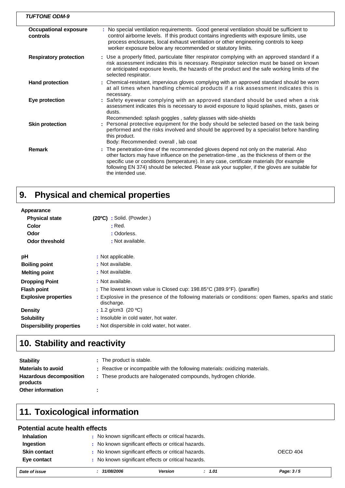| <b>TUFTONE ODM-9</b>                     |                                                                                                                                                                                                                                                                                                                                                                                                         |
|------------------------------------------|---------------------------------------------------------------------------------------------------------------------------------------------------------------------------------------------------------------------------------------------------------------------------------------------------------------------------------------------------------------------------------------------------------|
| <b>Occupational exposure</b><br>controls | : No special ventilation requirements. Good general ventilation should be sufficient to<br>control airborne levels. If this product contains ingredients with exposure limits, use<br>process enclosures, local exhaust ventilation or other engineering controls to keep<br>worker exposure below any recommended or statutory limits.                                                                 |
| <b>Respiratory protection</b>            | : Use a properly fitted, particulate filter respirator complying with an approved standard if a<br>risk assessment indicates this is necessary. Respirator selection must be based on known<br>or anticipated exposure levels, the hazards of the product and the safe working limits of the<br>selected respirator.                                                                                    |
| <b>Hand protection</b>                   | : Chemical-resistant, impervious gloves complying with an approved standard should be worn<br>at all times when handling chemical products if a risk assessment indicates this is<br>necessary.                                                                                                                                                                                                         |
| Eye protection                           | : Safety eyewear complying with an approved standard should be used when a risk<br>assessment indicates this is necessary to avoid exposure to liquid splashes, mists, gases or<br>dusts.<br>Recommended: splash goggles, safety glasses with side-shields                                                                                                                                              |
| <b>Skin protection</b>                   | : Personal protective equipment for the body should be selected based on the task being<br>performed and the risks involved and should be approved by a specialist before handling<br>this product.<br>Body: Recommended: overall, lab coat                                                                                                                                                             |
| <b>Remark</b>                            | : The penetration-time of the recommended gloves depend not only on the material. Also<br>other factors may have influence on the penetration-time, as the thickness of them or the<br>specific use or conditions (temperature). In any case, certificate materials (for example<br>following EN 374) should be selected. Please ask your supplier, if the gloves are suitable for<br>the intended use. |

#### **Physical and chemical properties 9.**

| Appearance                       |                                                                                                                    |
|----------------------------------|--------------------------------------------------------------------------------------------------------------------|
| <b>Physical state</b>            | (20°C) : Solid. (Powder.)                                                                                          |
| Color                            | : Red.                                                                                                             |
| Odor                             | : Odorless.                                                                                                        |
| <b>Odor threshold</b>            | : Not available.                                                                                                   |
| рH                               | : Not applicable.                                                                                                  |
| <b>Boiling point</b>             | : Not available.                                                                                                   |
| <b>Melting point</b>             | : Not available.                                                                                                   |
| <b>Dropping Point</b>            | : Not available.                                                                                                   |
| <b>Flash point</b>               | : The lowest known value is Closed cup: 198.85°C (389.9°F). (paraffin)                                             |
| <b>Explosive properties</b>      | : Explosive in the presence of the following materials or conditions: open flames, sparks and static<br>discharge. |
| <b>Density</b>                   | : 1.2 g/cm3 $(20 °C)$                                                                                              |
| <b>Solubility</b>                | : Insoluble in cold water, hot water.                                                                              |
| <b>Dispersibility properties</b> | : Not dispersible in cold water, hot water.                                                                        |

# **10. Stability and reactivity**

| <b>Stability</b>                           | : The product is stable.                                                      |
|--------------------------------------------|-------------------------------------------------------------------------------|
| <b>Materials to avoid</b>                  | : Reactive or incompatible with the following materials: oxidizing materials. |
| <b>Hazardous decomposition</b><br>products | : These products are halogenated compounds, hydrogen chloride.                |
| Other information                          |                                                                               |

# **11. Toxicological information**

#### **Potential acute health effects**

| Date of issue       | 31/08/2006 | <b>Version</b><br>: 1.01                            | Page: 3/5 |
|---------------------|------------|-----------------------------------------------------|-----------|
| Eye contact         |            | : No known significant effects or critical hazards. |           |
| <b>Skin contact</b> |            | : No known significant effects or critical hazards. | OECD 404  |
| Ingestion           |            | : No known significant effects or critical hazards. |           |
| <b>Inhalation</b>   |            | : No known significant effects or critical hazards. |           |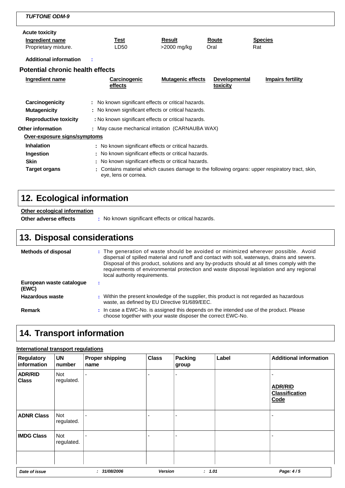| <b>TUFTONE ODM-9</b>                                                  |                                                                                                                                                                                       |                              |                                         |                                                                                               |  |
|-----------------------------------------------------------------------|---------------------------------------------------------------------------------------------------------------------------------------------------------------------------------------|------------------------------|-----------------------------------------|-----------------------------------------------------------------------------------------------|--|
| <b>Acute toxicity</b><br>Ingredient name<br>Proprietary mixture.      | Test<br>LD <sub>50</sub>                                                                                                                                                              | <b>Result</b><br>>2000 mg/kg | Route<br>Oral                           | <b>Species</b><br>Rat                                                                         |  |
| <b>Additional information</b>                                         |                                                                                                                                                                                       |                              |                                         |                                                                                               |  |
| <b>Potential chronic health effects</b>                               |                                                                                                                                                                                       |                              |                                         |                                                                                               |  |
| Ingredient name                                                       | Carcinogenic<br>effects                                                                                                                                                               | <b>Mutagenic effects</b>     | <b>Developmental</b><br><b>toxicity</b> | Impairs fertility                                                                             |  |
| Carcinogenicity<br><b>Mutagenicity</b>                                | : No known significant effects or critical hazards.<br>: No known significant effects or critical hazards.                                                                            |                              |                                         |                                                                                               |  |
| <b>Reproductive toxicity</b>                                          | : No known significant effects or critical hazards.                                                                                                                                   |                              |                                         |                                                                                               |  |
| <b>Other information</b><br>Over-exposure signs/symptoms              | : May cause mechanical irritation (CARNAUBA WAX)                                                                                                                                      |                              |                                         |                                                                                               |  |
| <b>Inhalation</b><br>Ingestion<br><b>Skin</b><br><b>Target organs</b> | : No known significant effects or critical hazards.<br>No known significant effects or critical hazards.<br>No known significant effects or critical hazards.<br>eye, lens or cornea. |                              |                                         | Contains material which causes damage to the following organs: upper respiratory tract, skin, |  |

# **12. Ecological information**

### **Other ecological information**

**Other adverse effects** : No known significant effects or critical hazards.

# **13. Disposal considerations**

| <b>Methods of disposal</b>        | : The generation of waste should be avoided or minimized wherever possible. Avoid<br>dispersal of spilled material and runoff and contact with soil, waterways, drains and sewers.<br>Disposal of this product, solutions and any by-products should at all times comply with the<br>requirements of environmental protection and waste disposal legislation and any regional<br>local authority requirements. |
|-----------------------------------|----------------------------------------------------------------------------------------------------------------------------------------------------------------------------------------------------------------------------------------------------------------------------------------------------------------------------------------------------------------------------------------------------------------|
| European waste cataloque<br>(EWC) |                                                                                                                                                                                                                                                                                                                                                                                                                |
| Hazardous waste                   | : Within the present knowledge of the supplier, this product is not regarded as hazardous<br>waste, as defined by EU Directive 91/689/EEC.                                                                                                                                                                                                                                                                     |
| <b>Remark</b>                     | : In case a EWC-No. is assigned this depends on the intended use of the product. Please<br>choose together with your waste disposer the correct EWC-No.                                                                                                                                                                                                                                                        |

# **14. Transport information**

#### **International transport regulations**

| <b>Regulatory</b><br>information | <b>UN</b><br>number      | <b>Proper shipping</b><br>name | <b>Class</b>   | Packing<br>group | Label  | <b>Additional information</b>                   |
|----------------------------------|--------------------------|--------------------------------|----------------|------------------|--------|-------------------------------------------------|
| <b>ADR/RID</b><br><b>Class</b>   | <b>Not</b><br>regulated. |                                |                |                  |        | <b>ADR/RID</b><br><b>Classification</b><br>Code |
| <b>ADNR Class</b>                | Not<br>regulated.        |                                |                |                  |        |                                                 |
| <b>IMDG Class</b>                | <b>Not</b><br>regulated. |                                |                |                  |        |                                                 |
|                                  |                          |                                |                |                  |        |                                                 |
| Date of issue                    |                          | : 31/08/2006                   | <b>Version</b> |                  | : 1.01 | Page: 4/5                                       |